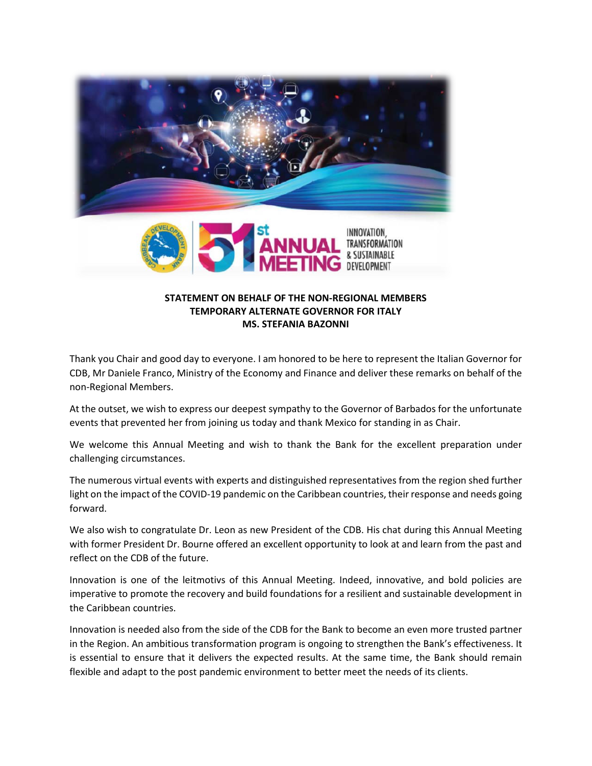



## **STATEMENT ON BEHALF OF THE NON-REGIONAL MEMBERS TEMPORARY ALTERNATE GOVERNOR FOR ITALY MS. STEFANIA BAZONNI**

Thank you Chair and good day to everyone. I am honored to be here to represent the Italian Governor for CDB, Mr Daniele Franco, Ministry of the Economy and Finance and deliver these remarks on behalf of the non-Regional Members.

At the outset, we wish to express our deepest sympathy to the Governor of Barbados for the unfortunate events that prevented her from joining us today and thank Mexico for standing in as Chair.

We welcome this Annual Meeting and wish to thank the Bank for the excellent preparation under challenging circumstances.

The numerous virtual events with experts and distinguished representatives from the region shed further light on the impact of the COVID-19 pandemic on the Caribbean countries, their response and needs going forward.

We also wish to congratulate Dr. Leon as new President of the CDB. His chat during this Annual Meeting with former President Dr. Bourne offered an excellent opportunity to look at and learn from the past and reflect on the CDB of the future.

Innovation is one of the leitmotivs of this Annual Meeting. Indeed, innovative, and bold policies are imperative to promote the recovery and build foundations for a resilient and sustainable development in the Caribbean countries.

Innovation is needed also from the side of the CDB for the Bank to become an even more trusted partner in the Region. An ambitious transformation program is ongoing to strengthen the Bank's effectiveness. It is essential to ensure that it delivers the expected results. At the same time, the Bank should remain flexible and adapt to the post pandemic environment to better meet the needs of its clients.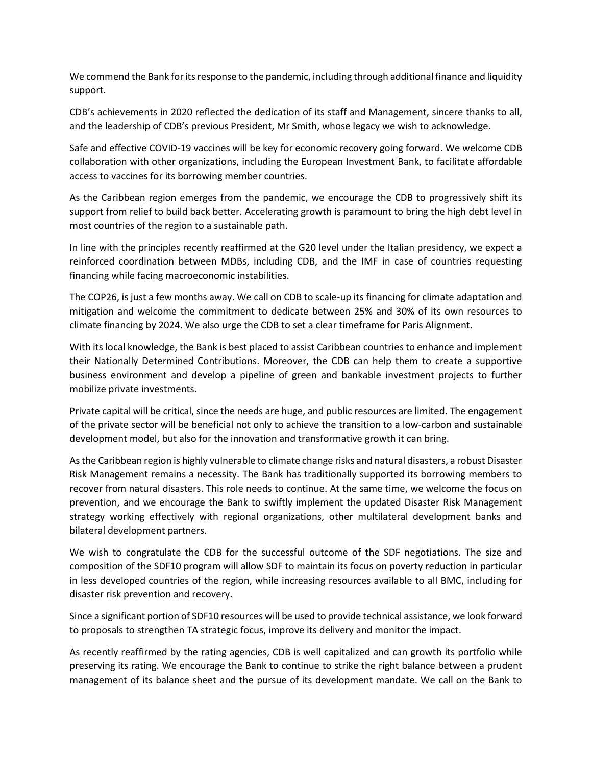We commend the Bank for its response to the pandemic, including through additional finance and liquidity support.

CDB's achievements in 2020 reflected the dedication of its staff and Management, sincere thanks to all, and the leadership of CDB's previous President, Mr Smith, whose legacy we wish to acknowledge.

Safe and effective COVID-19 vaccines will be key for economic recovery going forward. We welcome CDB collaboration with other organizations, including the European Investment Bank, to facilitate affordable access to vaccines for its borrowing member countries.

As the Caribbean region emerges from the pandemic, we encourage the CDB to progressively shift its support from relief to build back better. Accelerating growth is paramount to bring the high debt level in most countries of the region to a sustainable path.

In line with the principles recently reaffirmed at the G20 level under the Italian presidency, we expect a reinforced coordination between MDBs, including CDB, and the IMF in case of countries requesting financing while facing macroeconomic instabilities.

The COP26, is just a few months away. We call on CDB to scale-up its financing for climate adaptation and mitigation and welcome the commitment to dedicate between 25% and 30% of its own resources to climate financing by 2024. We also urge the CDB to set a clear timeframe for Paris Alignment.

With its local knowledge, the Bank is best placed to assist Caribbean countries to enhance and implement their Nationally Determined Contributions. Moreover, the CDB can help them to create a supportive business environment and develop a pipeline of green and bankable investment projects to further mobilize private investments.

Private capital will be critical, since the needs are huge, and public resources are limited. The engagement of the private sector will be beneficial not only to achieve the transition to a low-carbon and sustainable development model, but also for the innovation and transformative growth it can bring.

As the Caribbean region is highly vulnerable to climate change risks and natural disasters, a robust Disaster Risk Management remains a necessity. The Bank has traditionally supported its borrowing members to recover from natural disasters. This role needs to continue. At the same time, we welcome the focus on prevention, and we encourage the Bank to swiftly implement the updated Disaster Risk Management strategy working effectively with regional organizations, other multilateral development banks and bilateral development partners.

We wish to congratulate the CDB for the successful outcome of the SDF negotiations. The size and composition of the SDF10 program will allow SDF to maintain its focus on poverty reduction in particular in less developed countries of the region, while increasing resources available to all BMC, including for disaster risk prevention and recovery.

Since a significant portion of SDF10 resources will be used to provide technical assistance, we look forward to proposals to strengthen TA strategic focus, improve its delivery and monitor the impact.

As recently reaffirmed by the rating agencies, CDB is well capitalized and can growth its portfolio while preserving its rating. We encourage the Bank to continue to strike the right balance between a prudent management of its balance sheet and the pursue of its development mandate. We call on the Bank to